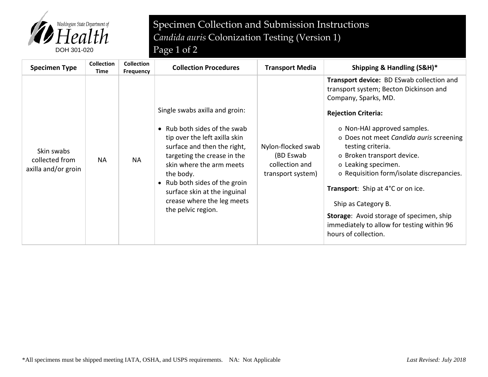

## Specimen Collection and Submission Instructions *Candida auris* Colonization Testing (Version 1)

| <b>Specimen Type</b>                                | <b>Collection</b><br>Time | <b>Collection</b><br><b>Frequency</b> | <b>Collection Procedures</b>                                                                                                                                                                                                                                                                                                | <b>Transport Media</b>                                                 | Shipping & Handling (S&H)*                                                                                                                                                                                                                                                                                                                                                                                                                                                                                                             |
|-----------------------------------------------------|---------------------------|---------------------------------------|-----------------------------------------------------------------------------------------------------------------------------------------------------------------------------------------------------------------------------------------------------------------------------------------------------------------------------|------------------------------------------------------------------------|----------------------------------------------------------------------------------------------------------------------------------------------------------------------------------------------------------------------------------------------------------------------------------------------------------------------------------------------------------------------------------------------------------------------------------------------------------------------------------------------------------------------------------------|
| Skin swabs<br>collected from<br>axilla and/or groin | <b>NA</b>                 | <b>NA</b>                             | Single swabs axilla and groin:<br>• Rub both sides of the swab<br>tip over the left axilla skin<br>surface and then the right,<br>targeting the crease in the<br>skin where the arm meets<br>the body.<br>• Rub both sides of the groin<br>surface skin at the inguinal<br>crease where the leg meets<br>the pelvic region. | Nylon-flocked swab<br>(BD Eswab<br>collection and<br>transport system) | <b>Transport device: BD ESwab collection and</b><br>transport system; Becton Dickinson and<br>Company, Sparks, MD.<br><b>Rejection Criteria:</b><br>o Non-HAI approved samples.<br>o Does not meet Candida auris screening<br>testing criteria.<br>o Broken transport device.<br>o Leaking specimen.<br>o Requisition form/isolate discrepancies.<br>Transport: Ship at 4°C or on ice.<br>Ship as Category B.<br><b>Storage:</b> Avoid storage of specimen, ship<br>immediately to allow for testing within 96<br>hours of collection. |